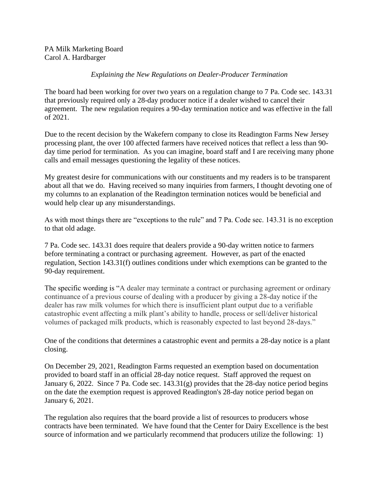PA Milk Marketing Board Carol A. Hardbarger

## *Explaining the New Regulations on Dealer-Producer Termination*

The board had been working for over two years on a regulation change to 7 Pa. Code sec. 143.31 that previously required only a 28-day producer notice if a dealer wished to cancel their agreement. The new regulation requires a 90-day termination notice and was effective in the fall of 2021.

Due to the recent decision by the Wakefern company to close its Readington Farms New Jersey processing plant, the over 100 affected farmers have received notices that reflect a less than 90 day time period for termination. As you can imagine, board staff and I are receiving many phone calls and email messages questioning the legality of these notices.

My greatest desire for communications with our constituents and my readers is to be transparent about all that we do. Having received so many inquiries from farmers, I thought devoting one of my columns to an explanation of the Readington termination notices would be beneficial and would help clear up any misunderstandings.

As with most things there are "exceptions to the rule" and 7 Pa. Code sec. 143.31 is no exception to that old adage.

7 Pa. Code sec. 143.31 does require that dealers provide a 90-day written notice to farmers before terminating a contract or purchasing agreement. However, as part of the enacted regulation, Section 143.31(f) outlines conditions under which exemptions can be granted to the 90-day requirement.

The specific wording is "A dealer may terminate a contract or purchasing agreement or ordinary continuance of a previous course of dealing with a producer by giving a 28-day notice if the dealer has raw milk volumes for which there is insufficient plant output due to a verifiable catastrophic event affecting a milk plant's ability to handle, process or sell/deliver historical volumes of packaged milk products, which is reasonably expected to last beyond 28-days."

One of the conditions that determines a catastrophic event and permits a 28-day notice is a plant closing.

On December 29, 2021, Readington Farms requested an exemption based on documentation provided to board staff in an official 28-day notice request. Staff approved the request on January 6, 2022. Since 7 Pa. Code sec. 143.31(g) provides that the 28-day notice period begins on the date the exemption request is approved Readington's 28-day notice period began on January 6, 2021.

The regulation also requires that the board provide a list of resources to producers whose contracts have been terminated. We have found that the Center for Dairy Excellence is the best source of information and we particularly recommend that producers utilize the following: 1)